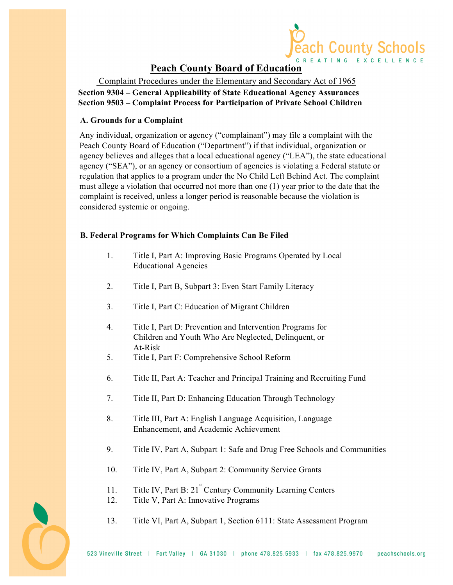

# **Peach County Board of Education**

Complaint Procedures under the Elementary and Secondary Act of 1965 **Section 9304 – General Applicability of State Educational Agency Assurances Section 9503 – Complaint Process for Participation of Private School Children** 

#### **A. Grounds for a Complaint**

Any individual, organization or agency ("complainant") may file a complaint with the Peach County Board of Education ("Department") if that individual, organization or agency believes and alleges that a local educational agency ("LEA"), the state educational agency ("SEA"), or an agency or consortium of agencies is violating a Federal statute or regulation that applies to a program under the No Child Left Behind Act. The complaint must allege a violation that occurred not more than one (1) year prior to the date that the complaint is received, unless a longer period is reasonable because the violation is considered systemic or ongoing.

#### **B. Federal Programs for Which Complaints Can Be Filed**

- 1. Title I, Part A: Improving Basic Programs Operated by Local Educational Agencies
- 2. Title I, Part B, Subpart 3: Even Start Family Literacy
- 3. Title I, Part C: Education of Migrant Children
- 4. Title I, Part D: Prevention and Intervention Programs for Children and Youth Who Are Neglected, Delinquent, or At-Risk
- 5. Title I, Part F: Comprehensive School Reform
- 6. Title II, Part A: Teacher and Principal Training and Recruiting Fund
- 7. Title II, Part D: Enhancing Education Through Technology
- 8. Title III, Part A: English Language Acquisition, Language Enhancement, and Academic Achievement
- 9. Title IV, Part A, Subpart 1: Safe and Drug Free Schools and Communities
- 10. Title IV, Part A, Subpart 2: Community Service Grants
- 11. Title IV, Part B: 21<sup>st</sup> Century Community Learning Centers
- 12. Title V, Part A: Innovative Programs
- 13. Title VI, Part A, Subpart 1, Section 6111: State Assessment Program

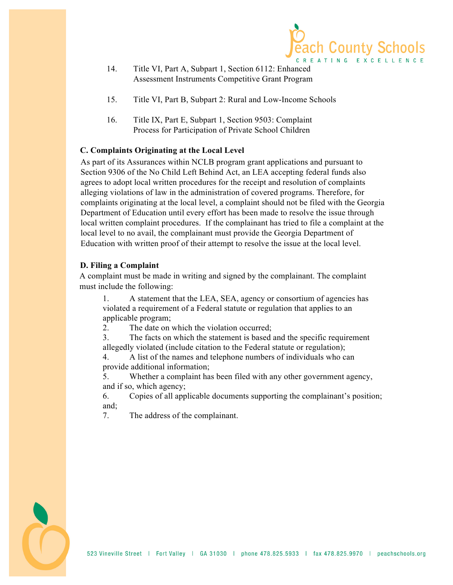

- 14. Title VI, Part A, Subpart 1, Section 6112: Enhanced Assessment Instruments Competitive Grant Program
- 15. Title VI, Part B, Subpart 2: Rural and Low-Income Schools
- 16. Title IX, Part E, Subpart 1, Section 9503: Complaint Process for Participation of Private School Children

## **C. Complaints Originating at the Local Level**

As part of its Assurances within NCLB program grant applications and pursuant to Section 9306 of the No Child Left Behind Act, an LEA accepting federal funds also agrees to adopt local written procedures for the receipt and resolution of complaints alleging violations of law in the administration of covered programs. Therefore, for complaints originating at the local level, a complaint should not be filed with the Georgia Department of Education until every effort has been made to resolve the issue through local written complaint procedures. If the complainant has tried to file a complaint at the local level to no avail, the complainant must provide the Georgia Department of Education with written proof of their attempt to resolve the issue at the local level.

## **D. Filing a Complaint**

A complaint must be made in writing and signed by the complainant. The complaint must include the following:

1. A statement that the LEA, SEA, agency or consortium of agencies has violated a requirement of a Federal statute or regulation that applies to an applicable program;

2. The date on which the violation occurred;

3. The facts on which the statement is based and the specific requirement allegedly violated (include citation to the Federal statute or regulation);

4. A list of the names and telephone numbers of individuals who can provide additional information;

5. Whether a complaint has been filed with any other government agency, and if so, which agency;

6. Copies of all applicable documents supporting the complainant's position; and;

7. The address of the complainant.